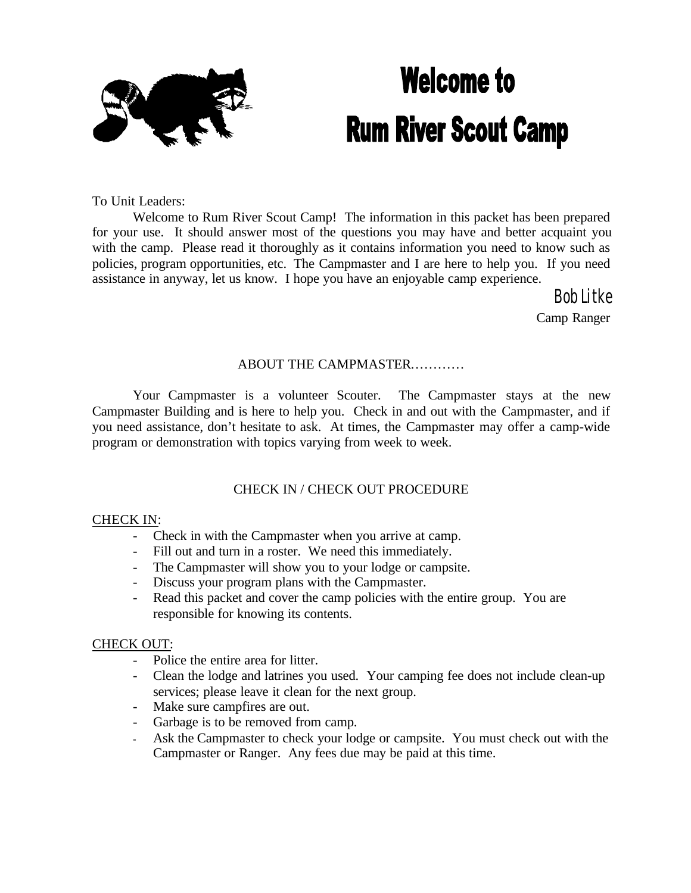

# **Welcome to Rum River Scout Camp**

To Unit Leaders:

Welcome to Rum River Scout Camp! The information in this packet has been prepared for your use. It should answer most of the questions you may have and better acquaint you with the camp. Please read it thoroughly as it contains information you need to know such as policies, program opportunities, etc. The Campmaster and I are here to help you. If you need assistance in anyway, let us know. I hope you have an enjoyable camp experience.

> Bob Litke Camp Ranger

#### ABOUT THE CAMPMASTER…………

Your Campmaster is a volunteer Scouter. The Campmaster stays at the new Campmaster Building and is here to help you. Check in and out with the Campmaster, and if you need assistance, don't hesitate to ask. At times, the Campmaster may offer a camp-wide program or demonstration with topics varying from week to week.

#### CHECK IN / CHECK OUT PROCEDURE

#### CHECK IN:

- Check in with the Campmaster when you arrive at camp.
- Fill out and turn in a roster. We need this immediately.
- The Campmaster will show you to your lodge or campsite.
- Discuss your program plans with the Campmaster.
- Read this packet and cover the camp policies with the entire group. You are responsible for knowing its contents.

#### CHECK OUT:

- Police the entire area for litter.
- Clean the lodge and latrines you used. Your camping fee does not include clean-up services; please leave it clean for the next group.
- Make sure campfires are out.
- Garbage is to be removed from camp.
- Ask the Campmaster to check your lodge or campsite. You must check out with the Campmaster or Ranger. Any fees due may be paid at this time.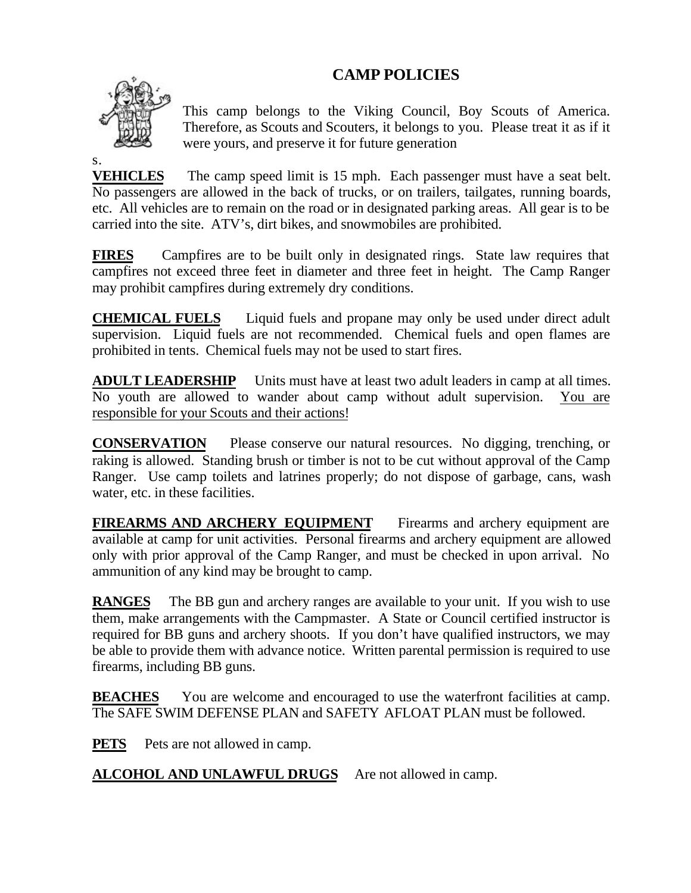## **CAMP POLICIES**



s.

This camp belongs to the Viking Council, Boy Scouts of America. Therefore, as Scouts and Scouters, it belongs to you. Please treat it as if it were yours, and preserve it for future generation

**VEHICLES** The camp speed limit is 15 mph. Each passenger must have a seat belt. No passengers are allowed in the back of trucks, or on trailers, tailgates, running boards, etc. All vehicles are to remain on the road or in designated parking areas. All gear is to be carried into the site. ATV's, dirt bikes, and snowmobiles are prohibited.

**FIRES** Campfires are to be built only in designated rings. State law requires that campfires not exceed three feet in diameter and three feet in height. The Camp Ranger may prohibit campfires during extremely dry conditions.

**CHEMICAL FUELS** Liquid fuels and propane may only be used under direct adult supervision. Liquid fuels are not recommended. Chemical fuels and open flames are prohibited in tents. Chemical fuels may not be used to start fires.

**ADULT LEADERSHIP** Units must have at least two adult leaders in camp at all times. No youth are allowed to wander about camp without adult supervision. You are responsible for your Scouts and their actions!

**CONSERVATION** Please conserve our natural resources. No digging, trenching, or raking is allowed. Standing brush or timber is not to be cut without approval of the Camp Ranger. Use camp toilets and latrines properly; do not dispose of garbage, cans, wash water, etc. in these facilities.

**FIREARMS AND ARCHERY EQUIPMENT** Firearms and archery equipment are available at camp for unit activities. Personal firearms and archery equipment are allowed only with prior approval of the Camp Ranger, and must be checked in upon arrival. No ammunition of any kind may be brought to camp.

**RANGES** The BB gun and archery ranges are available to your unit. If you wish to use them, make arrangements with the Campmaster. A State or Council certified instructor is required for BB guns and archery shoots. If you don't have qualified instructors, we may be able to provide them with advance notice. Written parental permission is required to use firearms, including BB guns.

**BEACHES** You are welcome and encouraged to use the waterfront facilities at camp. The SAFE SWIM DEFENSE PLAN and SAFETY AFLOAT PLAN must be followed.

**PETS** Pets are not allowed in camp.

**ALCOHOL AND UNLAWFUL DRUGS** Are not allowed in camp.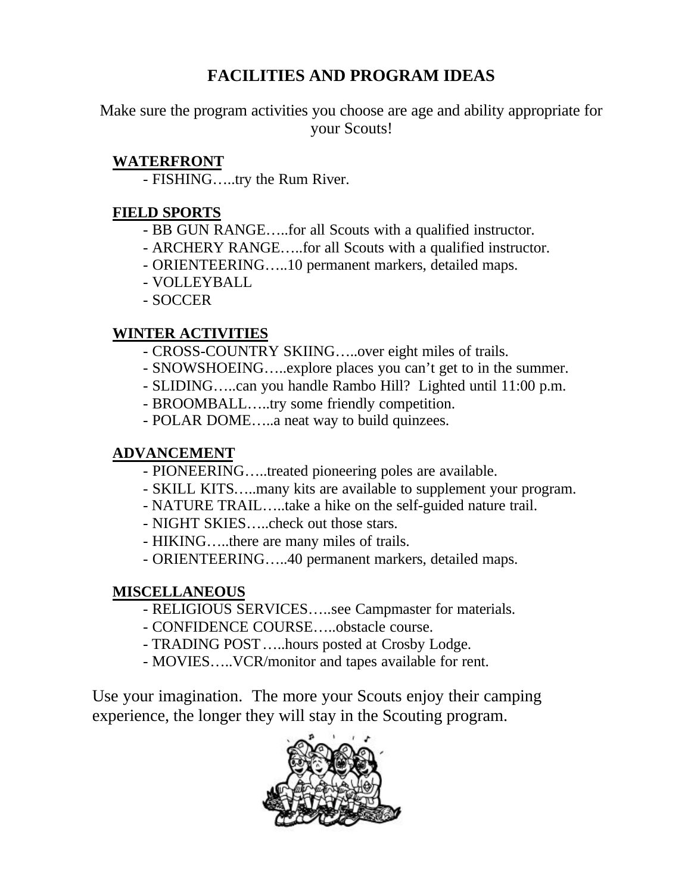# **FACILITIES AND PROGRAM IDEAS**

Make sure the program activities you choose are age and ability appropriate for your Scouts!

## **WATERFRONT**

- FISHING…..try the Rum River.

## **FIELD SPORTS**

- BB GUN RANGE…..for all Scouts with a qualified instructor.
- ARCHERY RANGE…..for all Scouts with a qualified instructor.
- ORIENTEERING…..10 permanent markers, detailed maps.
- VOLLEYBALL
- SOCCER

## **WINTER ACTIVITIES**

- CROSS-COUNTRY SKIING…..over eight miles of trails.
- SNOWSHOEING…..explore places you can't get to in the summer.
- SLIDING…..can you handle Rambo Hill? Lighted until 11:00 p.m.
- BROOMBALL…..try some friendly competition.
- POLAR DOME…..a neat way to build quinzees.

## **ADVANCEMENT**

- PIONEERING…..treated pioneering poles are available.
- SKILL KITS…..many kits are available to supplement your program.
- NATURE TRAIL…..take a hike on the self-guided nature trail.
- NIGHT SKIES…..check out those stars.
- HIKING…..there are many miles of trails.
- ORIENTEERING…..40 permanent markers, detailed maps.

## **MISCELLANEOUS**

- RELIGIOUS SERVICES…..see Campmaster for materials.
- CONFIDENCE COURSE…..obstacle course.
- TRADING POST…..hours posted at Crosby Lodge.
- MOVIES…..VCR/monitor and tapes available for rent.

Use your imagination. The more your Scouts enjoy their camping experience, the longer they will stay in the Scouting program.

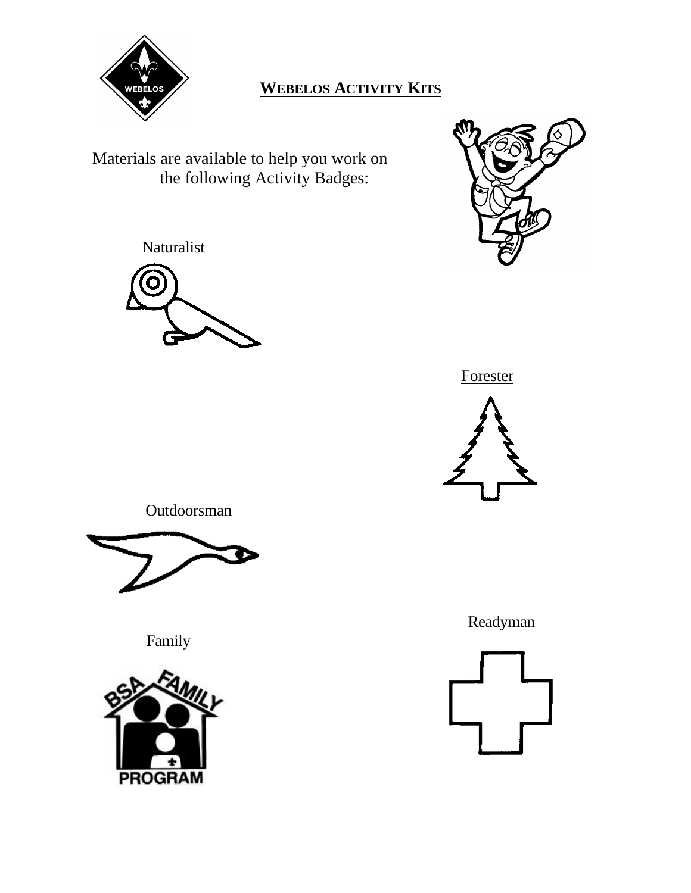

**Naturalist** 

# **WEBELOS ACTIVITY KITS**

Materials are available to help you work on the following Activity Badges:







Outdoorsman



Family



Readyman

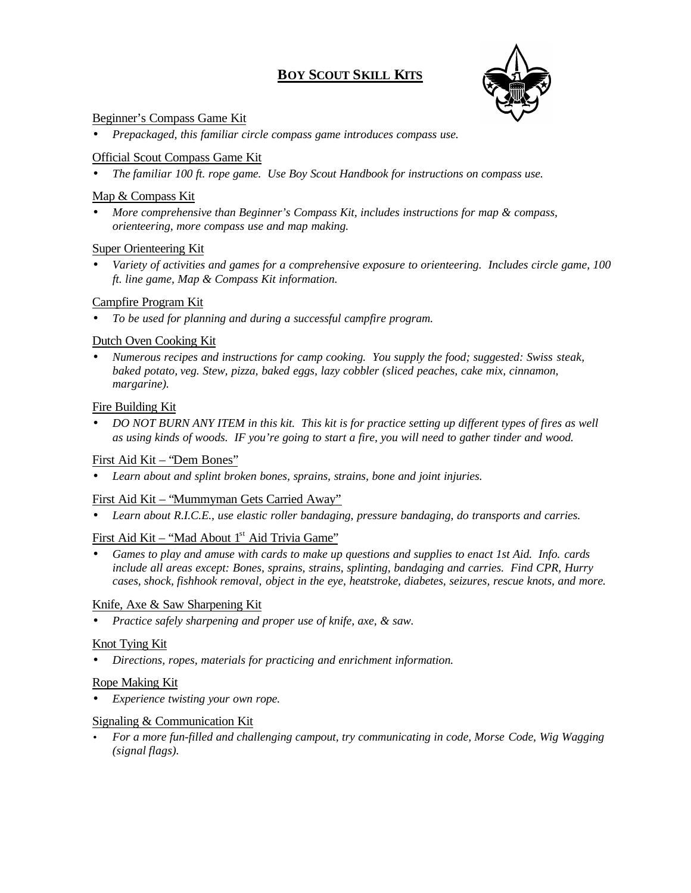## **BOY SCOUT SKILL KITS**



#### Beginner's Compass Game Kit

• *Prepackaged, this familiar circle compass game introduces compass use.*

#### Official Scout Compass Game Kit

• *The familiar 100 ft. rope game. Use Boy Scout Handbook for instructions on compass use.*

#### Map & Compass Kit

• *More comprehensive than Beginner's Compass Kit, includes instructions for map & compass, orienteering, more compass use and map making.*

#### Super Orienteering Kit

• *Variety of activities and games for a comprehensive exposure to orienteering. Includes circle game, 100 ft. line game, Map & Compass Kit information.*

#### Campfire Program Kit

• *To be used for planning and during a successful campfire program.*

#### Dutch Oven Cooking Kit

• *Numerous recipes and instructions for camp cooking. You supply the food; suggested: Swiss steak, baked potato, veg. Stew, pizza, baked eggs, lazy cobbler (sliced peaches, cake mix, cinnamon, margarine).*

#### Fire Building Kit

• *DO NOT BURN ANY ITEM in this kit. This kit is for practice setting up different types of fires as well as using kinds of woods. IF you're going to start a fire, you will need to gather tinder and wood.*

#### First Aid Kit – "Dem Bones"

• *Learn about and splint broken bones, sprains, strains, bone and joint injuries.*

#### First Aid Kit – "Mummyman Gets Carried Away"

• *Learn about R.I.C.E., use elastic roller bandaging, pressure bandaging, do transports and carries.*

#### First Aid Kit – "Mad About 1<sup>st</sup> Aid Trivia Game"

• *Games to play and amuse with cards to make up questions and supplies to enact 1st Aid. Info. cards include all areas except: Bones, sprains, strains, splinting, bandaging and carries. Find CPR, Hurry cases, shock, fishhook removal, object in the eye, heatstroke, diabetes, seizures, rescue knots, and more.*

#### Knife, Axe & Saw Sharpening Kit

• *Practice safely sharpening and proper use of knife, axe, & saw.*

#### Knot Tying Kit

• *Directions, ropes, materials for practicing and enrichment information.*

#### Rope Making Kit

• *Experience twisting your own rope.*

#### Signaling & Communication Kit

• *For a more fun-filled and challenging campout, try communicating in code, Morse Code, Wig Wagging (signal flags).*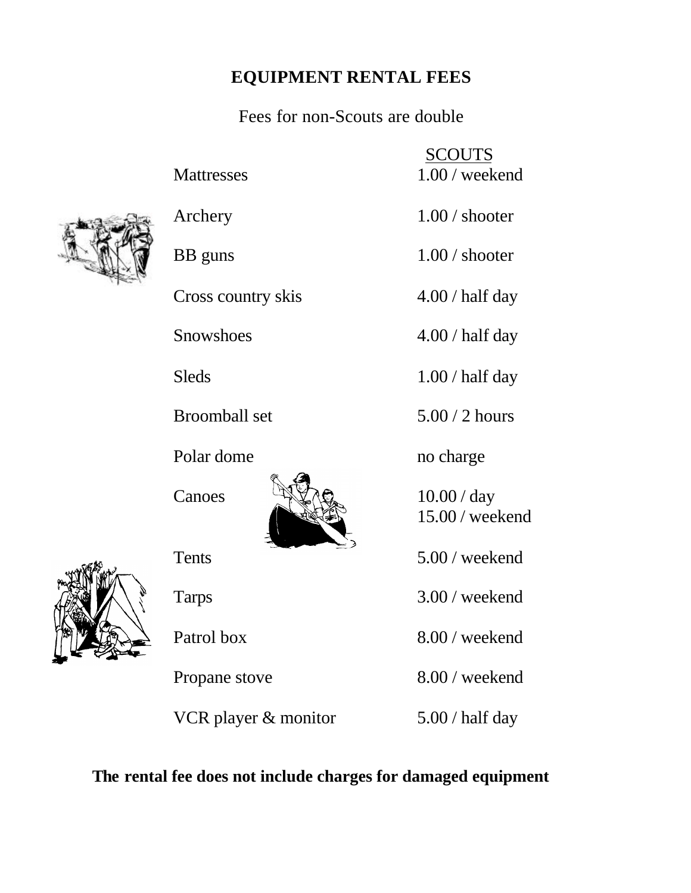## **EQUIPMENT RENTAL FEES**

Fees for non-Scouts are double

 SCOUTS Mattresses 1.00 / weekend

Archery 1.00 / shooter

BB guns 1.00 / shooter

Cross country skis 4.00 / half day

Snowshoes 4.00 / half day

Sleds 1.00 / half day

Broomball set 5.00 / 2 hours

Polar dome no charge

15.00 / weekend

Tents 5.00 / weekend

Tarps 3.00 / weekend

Patrol box 8.00 / weekend

Propane stove 8.00 / weekend

VCR player  $\&$  monitor  $5.00 / \text{half day}$ 

**The rental fee does not include charges for damaged equipment**





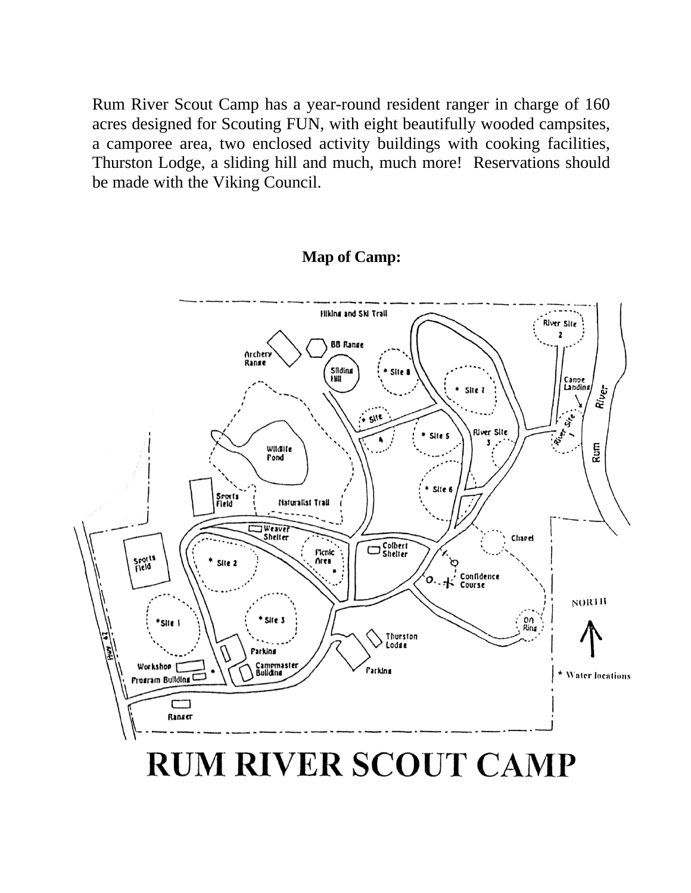Rum River Scout Camp has a year-round resident ranger in charge of 160 acres designed for Scouting FUN, with eight beautifully wooded campsites, a camporee area, two enclosed activity buildings with cooking facilities, Thurston Lodge, a sliding hill and much, much more! Reservations should be made with the Viking Council.

## **Map of Camp:**